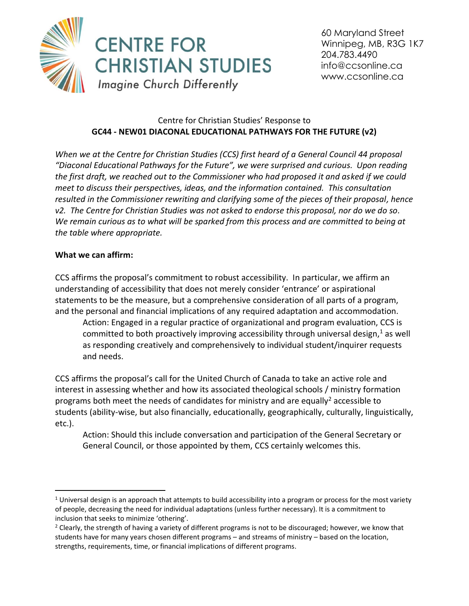

60 Maryland Street Winnipeg, MB, R3G 1K7 204.783.4490 info@ccsonline.ca www.ccsonline.ca

## Centre for Christian Studies' Response to **GC44 - NEW01 DIACONAL EDUCATIONAL PATHWAYS FOR THE FUTURE (v2)**

*When we at the Centre for Christian Studies (CCS) first heard of a General Council 44 proposal "Diaconal Educational Pathways for the Future", we were surprised and curious. Upon reading the first draft, we reached out to the Commissioner who had proposed it and asked if we could meet to discuss their perspectives, ideas, and the information contained. This consultation resulted in the Commissioner rewriting and clarifying some of the pieces of their proposal, hence v2. The Centre for Christian Studies was not asked to endorse this proposal, nor do we do so. We remain curious as to what will be sparked from this process and are committed to being at the table where appropriate.*

## **What we can affirm:**

CCS affirms the proposal's commitment to robust accessibility. In particular, we affirm an understanding of accessibility that does not merely consider 'entrance' or aspirational statements to be the measure, but a comprehensive consideration of all parts of a program, and the personal and financial implications of any required adaptation and accommodation.

Action: Engaged in a regular practice of organizational and program evaluation, CCS is committed to both proactively improving accessibility through universal design, $<sup>1</sup>$  as well</sup> as responding creatively and comprehensively to individual student/inquirer requests and needs.

CCS affirms the proposal's call for the United Church of Canada to take an active role and interest in assessing whether and how its associated theological schools / ministry formation programs both meet the needs of candidates for ministry and are equally<sup>2</sup> accessible to students (ability-wise, but also financially, educationally, geographically, culturally, linguistically, etc.).

Action: Should this include conversation and participation of the General Secretary or General Council, or those appointed by them, CCS certainly welcomes this.

 $1$  Universal design is an approach that attempts to build accessibility into a program or process for the most variety of people, decreasing the need for individual adaptations (unless further necessary). It is a commitment to inclusion that seeks to minimize 'othering'.

<sup>&</sup>lt;sup>2</sup> Clearly, the strength of having a variety of different programs is not to be discouraged; however, we know that students have for many years chosen different programs – and streams of ministry – based on the location, strengths, requirements, time, or financial implications of different programs.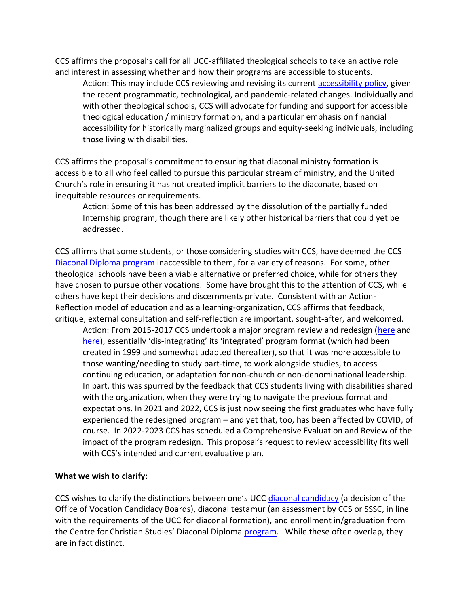CCS affirms the proposal's call for all UCC-affiliated theological schools to take an active role and interest in assessing whether and how their programs are accessible to students.

Action: This may include CCS reviewing and revising its current [accessibility policy,](http://www.ccsonline.ca/Resources/policies/disability_accommodation_policy.pdf) given the recent programmatic, technological, and pandemic-related changes. Individually and with other theological schools, CCS will advocate for funding and support for accessible theological education / ministry formation, and a particular emphasis on financial accessibility for historically marginalized groups and equity-seeking individuals, including those living with disabilities.

CCS affirms the proposal's commitment to ensuring that diaconal ministry formation is accessible to all who feel called to pursue this particular stream of ministry, and the United Church's role in ensuring it has not created implicit barriers to the diaconate, based on inequitable resources or requirements.

Action: Some of this has been addressed by the dissolution of the partially funded Internship program, though there are likely other historical barriers that could yet be addressed.

CCS affirms that some students, or those considering studies with CCS, have deemed the CCS [Diaconal Diploma program](/Users/marcie/Documents/CCS%20-%20Centre%20for%20Christian%20Studies/WiderChurch%20meetings/diploma%20program) inaccessible to them, for a variety of reasons. For some, other theological schools have been a viable alternative or preferred choice, while for others they have chosen to pursue other vocations. Some have brought this to the attention of CCS, while others have kept their decisions and discernments private. Consistent with an Action-Reflection model of education and as a learning-organization, CCS affirms that feedback, critique, external consultation and self-reflection are important, sought-after, and welcomed.

Action: From 2015-2017 CCS undertook a major program review and redesign [\(here](http://ccsonline.ca/2017/02/program-review-face-to-face/) and [here](http://ccsonline.ca/2017/04/program-redesign/)), essentially 'dis-integrating' its 'integrated' program format (which had been created in 1999 and somewhat adapted thereafter), so that it was more accessible to those wanting/needing to study part-time, to work alongside studies, to access continuing education, or adaptation for non-church or non-denominational leadership. In part, this was spurred by the feedback that CCS students living with disabilities shared with the organization, when they were trying to navigate the previous format and expectations. In 2021 and 2022, CCS is just now seeing the first graduates who have fully experienced the redesigned program – and yet that, too, has been affected by COVID, of course. In 2022-2023 CCS has scheduled a Comprehensive Evaluation and Review of the impact of the program redesign. This proposal's request to review accessibility fits well with CCS's intended and current evaluative plan.

## **What we wish to clarify:**

CCS wishes to clarify the distinctions between one's UCC [diaconal candidacy](https://united-church.ca/leadership/entering-ministry/ordered-ministry) (a decision of the Office of Vocation Candidacy Boards), diaconal testamur (an assessment by CCS or SSSC, in line with the requirements of the UCC for diaconal formation), and enrollment in/graduation from the Centre for Christian Studies' Diaconal Diploma [program.](http://ccsonline.ca/program/diaconal-diploma/) While these often overlap, they are in fact distinct.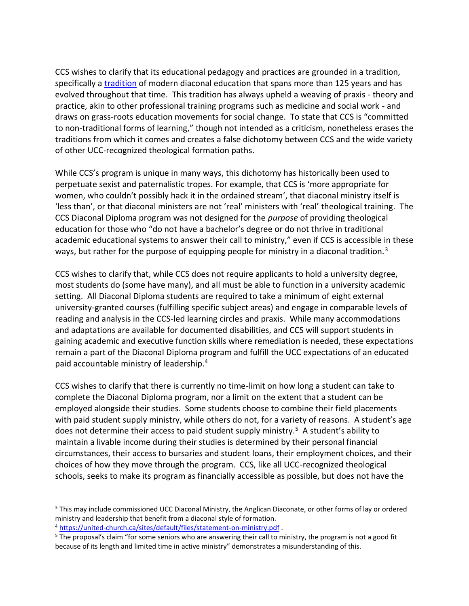CCS wishes to clarify that its educational pedagogy and practices are grounded in a tradition, specifically a [tradition](http://ccsonline.ca/about-ccs/ccs-history/) of modern diaconal education that spans more than 125 years and has evolved throughout that time. This tradition has always upheld a weaving of praxis - theory and practice, akin to other professional training programs such as medicine and social work - and draws on grass-roots education movements for social change. To state that CCS is "committed to non-traditional forms of learning," though not intended as a criticism, nonetheless erases the traditions from which it comes and creates a false dichotomy between CCS and the wide variety of other UCC-recognized theological formation paths.

While CCS's program is unique in many ways, this dichotomy has historically been used to perpetuate sexist and paternalistic tropes. For example, that CCS is 'more appropriate for women, who couldn't possibly hack it in the ordained stream', that diaconal ministry itself is 'less than', or that diaconal ministers are not 'real' ministers with 'real' theological training. The CCS Diaconal Diploma program was not designed for the *purpose* of providing theological education for those who "do not have a bachelor's degree or do not thrive in traditional academic educational systems to answer their call to ministry," even if CCS is accessible in these ways, but rather for the purpose of equipping people for ministry in a diaconal tradition.<sup>3</sup>

CCS wishes to clarify that, while CCS does not require applicants to hold a university degree, most students do (some have many), and all must be able to function in a university academic setting. All Diaconal Diploma students are required to take a minimum of eight external university-granted courses (fulfilling specific subject areas) and engage in comparable levels of reading and analysis in the CCS-led learning circles and praxis. While many accommodations and adaptations are available for documented disabilities, and CCS will support students in gaining academic and executive function skills where remediation is needed, these expectations remain a part of the Diaconal Diploma program and fulfill the UCC expectations of an educated paid accountable ministry of leadership.<sup>4</sup>

CCS wishes to clarify that there is currently no time-limit on how long a student can take to complete the Diaconal Diploma program, nor a limit on the extent that a student can be employed alongside their studies. Some students choose to combine their field placements with paid student supply ministry, while others do not, for a variety of reasons. A student's age does not determine their access to paid student supply ministry.<sup>5</sup> A student's ability to maintain a livable income during their studies is determined by their personal financial circumstances, their access to bursaries and student loans, their employment choices, and their choices of how they move through the program. CCS, like all UCC-recognized theological schools, seeks to make its program as financially accessible as possible, but does not have the

<sup>&</sup>lt;sup>3</sup> This may include commissioned UCC Diaconal Ministry, the Anglican Diaconate, or other forms of lay or ordered ministry and leadership that benefit from a diaconal style of formation.

<sup>4</sup> <https://united-church.ca/sites/default/files/statement-on-ministry.pdf> .

<sup>&</sup>lt;sup>5</sup> The proposal's claim "for some seniors who are answering their call to ministry, the program is not a good fit because of its length and limited time in active ministry" demonstrates a misunderstanding of this.